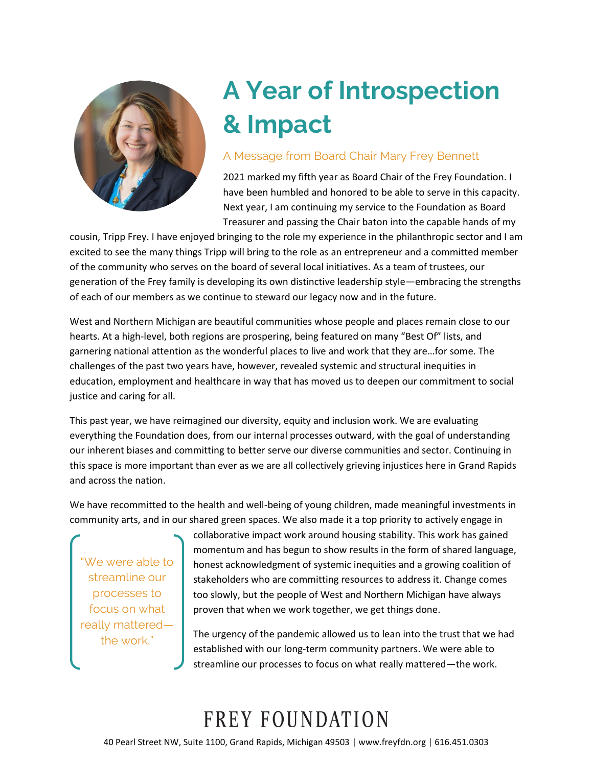

## **A Year of Introspection & Impact**

## A Message from Board Chair Mary Frey Bennett

2021 marked my fifth year as Board Chair of the Frey Foundation. I have been humbled and honored to be able to serve in this capacity. Next year, I am continuing my service to the Foundation as Board Treasurer and passing the Chair baton into the capable hands of my

cousin, Tripp Frey. I have enjoyed bringing to the role my experience in the philanthropic sector and I am excited to see the many things Tripp will bring to the role as an entrepreneur and a committed member of the community who serves on the board of several local initiatives. As a team of trustees, our generation of the Frey family is developing its own distinctive leadership style—embracing the strengths of each of our members as we continue to steward our legacy now and in the future.

West and Northern Michigan are beautiful communities whose people and places remain close to our hearts. At a high-level, both regions are prospering, being featured on many "Best Of" lists, and garnering national attention as the wonderful places to live and work that they are…for some. The challenges of the past two years have, however, revealed systemic and structural inequities in education, employment and healthcare in way that has moved us to deepen our commitment to social justice and caring for all.

This past year, we have reimagined our diversity, equity and inclusion work. We are evaluating everything the Foundation does, from our internal processes outward, with the goal of understanding our inherent biases and committing to better serve our diverse communities and sector. Continuing in this space is more important than ever as we are all collectively grieving injustices here in Grand Rapids and across the nation.

We have recommitted to the health and well-being of young children, made meaningful investments in community arts, and in our shared green spaces. We also made it a top priority to actively engage in

We were able to streamline our processes to focus on what really mattered the work."

collaborative impact work around housing stability. This work has gained momentum and has begun to show results in the form of shared language, honest acknowledgment of systemic inequities and a growing coalition of stakeholders who are committing resources to address it. Change comes too slowly, but the people of West and Northern Michigan have always proven that when we work together, we get things done.

The urgency of the pandemic allowed us to lean into the trust that we had established with our long-term community partners. We were able to streamline our processes to focus on what really mattered—the work.

## FREY FOUNDATION

40 Pearl Street NW, Suite 1100, Grand Rapids, Michigan 49503 | www.freyfdn.org | 616.451.0303